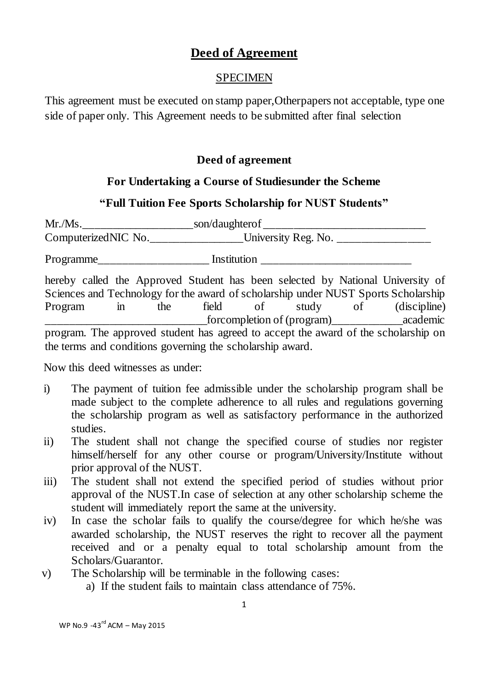# **Deed of Agreement**

#### SPECIMEN

This agreement must be executed on stamp paper,Otherpapers not acceptable, type one side of paper only. This Agreement needs to be submitted after final selection

### **Deed of agreement**

#### **For Undertaking a Course of Studiesunder the Scheme**

## **"Full Tuition Fee Sports Scholarship for NUST Students"**

Mr./Ms.\_\_\_\_\_\_\_\_\_\_\_\_\_\_\_\_\_\_\_son/daughterof \_\_\_\_\_\_\_\_\_\_\_\_\_\_\_\_\_\_\_\_\_\_\_\_\_\_\_\_ ComputerizedNIC No. University Reg. No. Programme\_\_\_\_\_\_\_\_\_\_\_\_\_\_\_\_\_\_\_ Institution \_\_\_\_\_\_\_\_\_\_\_\_\_\_\_\_\_\_\_\_\_\_\_\_\_\_ hereby called the Approved Student has been selected by National University of Sciences and Technology for the award of scholarship under NUST Sports Scholarship Program in the field of study of (discipline) for completion of (program) academic

program. The approved student has agreed to accept the award of the scholarship on the terms and conditions governing the scholarship award.

Now this deed witnesses as under:

- i) The payment of tuition fee admissible under the scholarship program shall be made subject to the complete adherence to all rules and regulations governing the scholarship program as well as satisfactory performance in the authorized studies.
- ii) The student shall not change the specified course of studies nor register himself/herself for any other course or program/University/Institute without prior approval of the NUST.
- iii) The student shall not extend the specified period of studies without prior approval of the NUST.In case of selection at any other scholarship scheme the student will immediately report the same at the university.
- iv) In case the scholar fails to qualify the course/degree for which he/she was awarded scholarship, the NUST reserves the right to recover all the payment received and or a penalty equal to total scholarship amount from the Scholars/Guarantor.
- v) The Scholarship will be terminable in the following cases:
	- a) If the student fails to maintain class attendance of 75%.